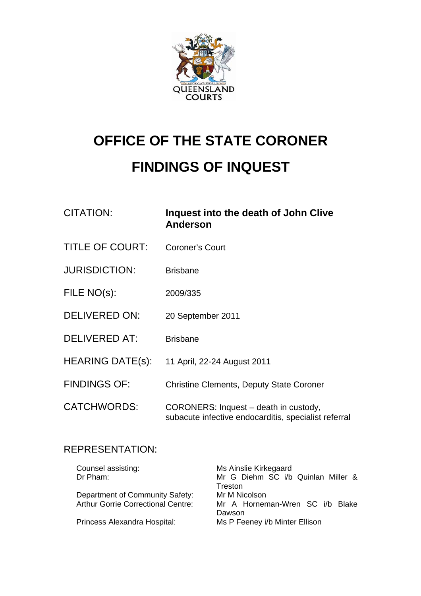

# **OFFICE OF THE STATE CORONER FINDINGS OF INQUEST**

| <b>CITATION:</b>        | Inquest into the death of John Clive<br><b>Anderson</b>                                       |
|-------------------------|-----------------------------------------------------------------------------------------------|
| <b>TITLE OF COURT:</b>  | <b>Coroner's Court</b>                                                                        |
| <b>JURISDICTION:</b>    | <b>Brisbane</b>                                                                               |
| FILE NO(s):             | 2009/335                                                                                      |
| <b>DELIVERED ON:</b>    | 20 September 2011                                                                             |
| <b>DELIVERED AT:</b>    | <b>Brisbane</b>                                                                               |
| <b>HEARING DATE(s):</b> | 11 April, 22-24 August 2011                                                                   |
| <b>FINDINGS OF:</b>     | <b>Christine Clements, Deputy State Coroner</b>                                               |
| <b>CATCHWORDS:</b>      | CORONERS: Inquest - death in custody,<br>subacute infective endocarditis, specialist referral |

# REPRESENTATION:

| Counsel assisting:                        | Ms Ainslie Kirkegaard              |
|-------------------------------------------|------------------------------------|
| Dr Pham:                                  | Mr G Diehm SC i/b Quinlan Miller & |
|                                           | Treston                            |
| Department of Community Safety:           | Mr M Nicolson                      |
| <b>Arthur Gorrie Correctional Centre:</b> | Mr A Horneman-Wren SC i/b Blake    |
|                                           | Dawson                             |
| Princess Alexandra Hospital:              | Ms P Feeney i/b Minter Ellison     |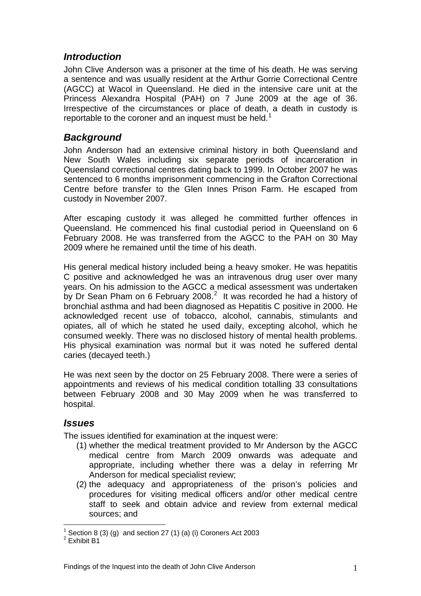# *Introduction*

John Clive Anderson was a prisoner at the time of his death. He was serving a sentence and was usually resident at the Arthur Gorrie Correctional Centre (AGCC) at Wacol in Queensland. He died in the intensive care unit at the Princess Alexandra Hospital (PAH) on 7 June 2009 at the age of 36. Irrespective of the circumstances or place of death, a death in custody is reportable to the coroner and an inquest must be held.

### *Background*

John Anderson had an extensive criminal history in both Queensland and New South Wales including six separate periods of incarceration in Queensland correctional centres dating back to 1999. In October 2007 he was sentenced to 6 months imprisonment commencing in the Grafton Correctional Centre before transfer to the Glen Innes Prison Farm. He escaped from custody in November 2007.

After escaping custody it was alleged he committed further offences in Queensland. He commenced his final custodial period in Queensland on 6 February 2008. He was transferred from the AGCC to the PAH on 30 May 2009 where he remained until the time of his death.

His general medical history included being a heavy smoker. He was hepatitis C positive and acknowledged he was an intravenous drug user over many years. On his admission to the AGCC a medical assessment was undertaken by Dr Sean Pham on 6 February [2](#page-1-1)008.<sup>2</sup> It was recorded he had a history of bronchial asthma and had been diagnosed as Hepatitis C positive in 2000. He acknowledged recent use of tobacco, alcohol, cannabis, stimulants and opiates, all of which he stated he used daily, excepting alcohol, which he consumed weekly. There was no disclosed history of mental health problems. His physical examination was normal but it was noted he suffered dental caries (decayed teeth.)

He was next seen by the doctor on 25 February 2008. There were a series of appointments and reviews of his medical condition totalling 33 consultations between February 2008 and 30 May 2009 when he was transferred to hospital.

#### *Issues*

The issues identified for examination at the inquest were:

- (1) whether the medical treatment provided to Mr Anderson by the AGCC medical centre from March 2009 onwards was adequate and appropriate, including whether there was a delay in referring Mr Anderson for medical specialist review;
- (2) the adequacy and appropriateness of the prison's policies and procedures for visiting medical officers and/or other medical centre staff to seek and obtain advice and review from external medical sources; and

<span id="page-1-0"></span> $\overline{a}$  $1$  Section 8 (3) (g) and section 27 (1) (a) (i) Coroners Act 2003

<span id="page-1-1"></span> $^2$  Exhibit B1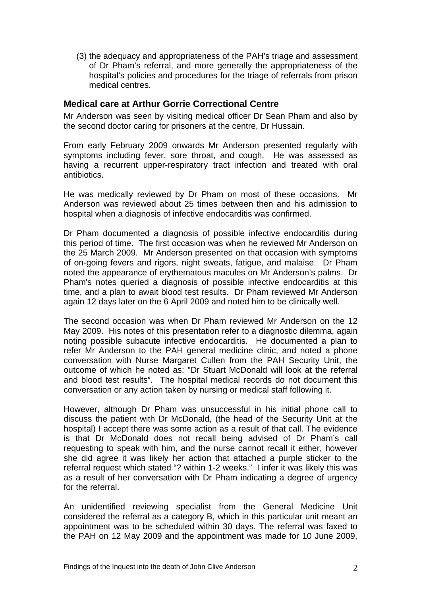(3) the adequacy and appropriateness of the PAH's triage and assessment of Dr Pham's referral, and more generally the appropriateness of the hospital's policies and procedures for the triage of referrals from prison medical centres.

#### **Medical care at Arthur Gorrie Correctional Centre**

Mr Anderson was seen by visiting medical officer Dr Sean Pham and also by the second doctor caring for prisoners at the centre, Dr Hussain.

From early February 2009 onwards Mr Anderson presented regularly with symptoms including fever, sore throat, and cough. He was assessed as having a recurrent upper-respiratory tract infection and treated with oral antibiotics.

He was medically reviewed by Dr Pham on most of these occasions. Mr Anderson was reviewed about 25 times between then and his admission to hospital when a diagnosis of infective endocarditis was confirmed.

Dr Pham documented a diagnosis of possible infective endocarditis during this period of time. The first occasion was when he reviewed Mr Anderson on the 25 March 2009. Mr Anderson presented on that occasion with symptoms of on-going fevers and rigors, night sweats, fatigue, and malaise. Dr Pham noted the appearance of erythematous macules on Mr Anderson's palms. Dr Pham's notes queried a diagnosis of possible infective endocarditis at this time, and a plan to await blood test results. Dr Pham reviewed Mr Anderson again 12 days later on the 6 April 2009 and noted him to be clinically well.

The second occasion was when Dr Pham reviewed Mr Anderson on the 12 May 2009. His notes of this presentation refer to a diagnostic dilemma, again noting possible subacute infective endocarditis. He documented a plan to refer Mr Anderson to the PAH general medicine clinic, and noted a phone conversation with Nurse Margaret Cullen from the PAH Security Unit, the outcome of which he noted as: "Dr Stuart McDonald will look at the referral and blood test results". The hospital medical records do not document this conversation or any action taken by nursing or medical staff following it.

However, although Dr Pham was unsuccessful in his initial phone call to discuss the patient with Dr McDonald, (the head of the Security Unit at the hospital) I accept there was some action as a result of that call. The evidence is that Dr McDonald does not recall being advised of Dr Pham's call requesting to speak with him, and the nurse cannot recall it either, however she did agree it was likely her action that attached a purple sticker to the referral request which stated "? within 1-2 weeks." I infer it was likely this was as a result of her conversation with Dr Pham indicating a degree of urgency for the referral.

An unidentified reviewing specialist from the General Medicine Unit considered the referral as a category B, which in this particular unit meant an appointment was to be scheduled within 30 days. The referral was faxed to the PAH on 12 May 2009 and the appointment was made for 10 June 2009,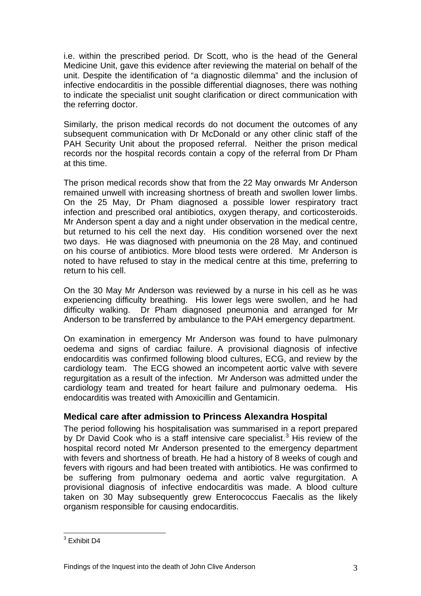i.e. within the prescribed period. Dr Scott, who is the head of the General Medicine Unit, gave this evidence after reviewing the material on behalf of the unit. Despite the identification of "a diagnostic dilemma" and the inclusion of infective endocarditis in the possible differential diagnoses, there was nothing to indicate the specialist unit sought clarification or direct communication with the referring doctor.

Similarly, the prison medical records do not document the outcomes of any subsequent communication with Dr McDonald or any other clinic staff of the PAH Security Unit about the proposed referral. Neither the prison medical records nor the hospital records contain a copy of the referral from Dr Pham at this time.

The prison medical records show that from the 22 May onwards Mr Anderson remained unwell with increasing shortness of breath and swollen lower limbs. On the 25 May, Dr Pham diagnosed a possible lower respiratory tract infection and prescribed oral antibiotics, oxygen therapy, and corticosteroids. Mr Anderson spent a day and a night under observation in the medical centre, but returned to his cell the next day. His condition worsened over the next two days. He was diagnosed with pneumonia on the 28 May, and continued on his course of antibiotics. More blood tests were ordered. Mr Anderson is noted to have refused to stay in the medical centre at this time, preferring to return to his cell.

On the 30 May Mr Anderson was reviewed by a nurse in his cell as he was experiencing difficulty breathing. His lower legs were swollen, and he had difficulty walking. Dr Pham diagnosed pneumonia and arranged for Mr Anderson to be transferred by ambulance to the PAH emergency department.

On examination in emergency Mr Anderson was found to have pulmonary oedema and signs of cardiac failure. A provisional diagnosis of infective endocarditis was confirmed following blood cultures, ECG, and review by the cardiology team. The ECG showed an incompetent aortic valve with severe regurgitation as a result of the infection. Mr Anderson was admitted under the cardiology team and treated for heart failure and pulmonary oedema. His endocarditis was treated with Amoxicillin and Gentamicin.

#### **Medical care after admission to Princess Alexandra Hospital**

The period following his hospitalisation was summarised in a report prepared by Dr David Cook who is a staff intensive care specialist.<sup>[3](#page-3-0)</sup> His review of the hospital record noted Mr Anderson presented to the emergency department with fevers and shortness of breath. He had a history of 8 weeks of cough and fevers with rigours and had been treated with antibiotics. He was confirmed to be suffering from pulmonary oedema and aortic valve regurgitation. A provisional diagnosis of infective endocarditis was made. A blood culture taken on 30 May subsequently grew Enterococcus Faecalis as the likely organism responsible for causing endocarditis.

<span id="page-3-0"></span> 3 Exhibit D4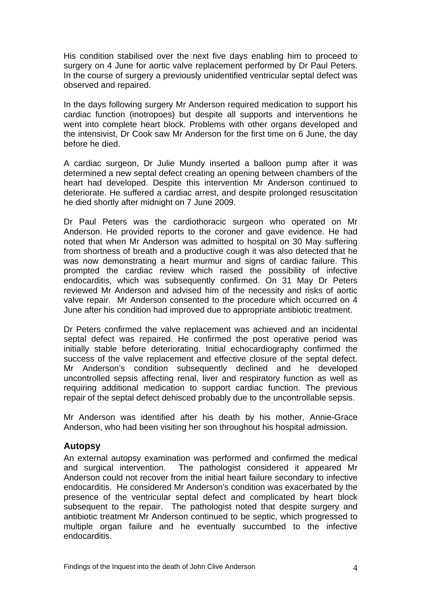His condition stabilised over the next five days enabling him to proceed to surgery on 4 June for aortic valve replacement performed by Dr Paul Peters. In the course of surgery a previously unidentified ventricular septal defect was observed and repaired.

In the days following surgery Mr Anderson required medication to support his cardiac function (inotropoes) but despite all supports and interventions he went into complete heart block. Problems with other organs developed and the intensivist, Dr Cook saw Mr Anderson for the first time on 6 June, the day before he died.

A cardiac surgeon, Dr Julie Mundy inserted a balloon pump after it was determined a new septal defect creating an opening between chambers of the heart had developed. Despite this intervention Mr Anderson continued to deteriorate. He suffered a cardiac arrest, and despite prolonged resuscitation he died shortly after midnight on 7 June 2009.

Dr Paul Peters was the cardiothoracic surgeon who operated on Mr Anderson. He provided reports to the coroner and gave evidence. He had noted that when Mr Anderson was admitted to hospital on 30 May suffering from shortness of breath and a productive cough it was also detected that he was now demonstrating a heart murmur and signs of cardiac failure. This prompted the cardiac review which raised the possibility of infective endocarditis, which was subsequently confirmed. On 31 May Dr Peters reviewed Mr Anderson and advised him of the necessity and risks of aortic valve repair. Mr Anderson consented to the procedure which occurred on 4 June after his condition had improved due to appropriate antibiotic treatment.

Dr Peters confirmed the valve replacement was achieved and an incidental septal defect was repaired. He confirmed the post operative period was initially stable before deteriorating. Initial echocardiography confirmed the success of the valve replacement and effective closure of the septal defect. Mr Anderson's condition subsequently declined and he developed uncontrolled sepsis affecting renal, liver and respiratory function as well as requiring additional medication to support cardiac function. The previous repair of the septal defect dehisced probably due to the uncontrollable sepsis.

Mr Anderson was identified after his death by his mother, Annie-Grace Anderson, who had been visiting her son throughout his hospital admission.

#### **Autopsy**

An external autopsy examination was performed and confirmed the medical and surgical intervention. The pathologist considered it appeared Mr Anderson could not recover from the initial heart failure secondary to infective endocarditis. He considered Mr Anderson's condition was exacerbated by the presence of the ventricular septal defect and complicated by heart block subsequent to the repair. The pathologist noted that despite surgery and antibiotic treatment Mr Anderson continued to be septic, which progressed to multiple organ failure and he eventually succumbed to the infective endocarditis.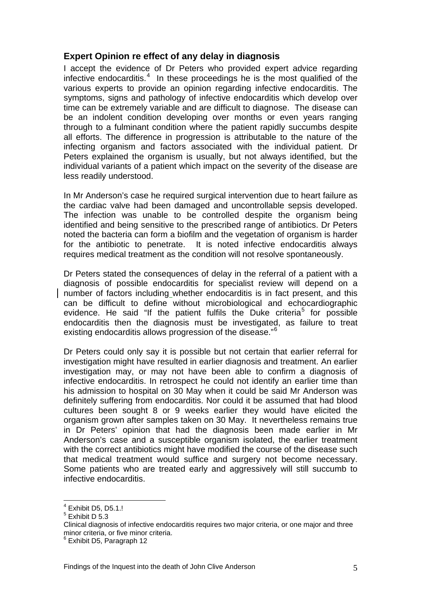#### **Expert Opinion re effect of any delay in diagnosis**

I accept the evidence of Dr Peters who provided expert advice regarding infective endocarditis.<sup>[4](#page-5-0)</sup> In these proceedings he is the most qualified of the various experts to provide an opinion regarding infective endocarditis. The symptoms, signs and pathology of infective endocarditis which develop over time can be extremely variable and are difficult to diagnose. The disease can be an indolent condition developing over months or even years ranging through to a fulminant condition where the patient rapidly succumbs despite all efforts. The difference in progression is attributable to the nature of the infecting organism and factors associated with the individual patient. Dr Peters explained the organism is usually, but not always identified, but the individual variants of a patient which impact on the severity of the disease are less readily understood.

In Mr Anderson's case he required surgical intervention due to heart failure as the cardiac valve had been damaged and uncontrollable sepsis developed. The infection was unable to be controlled despite the organism being identified and being sensitive to the prescribed range of antibiotics. Dr Peters noted the bacteria can form a biofilm and the vegetation of organism is harder for the antibiotic to penetrate. It is noted infective endocarditis always requires medical treatment as the condition will not resolve spontaneously.

Dr Peters stated the consequences of delay in the referral of a patient with a diagnosis of possible endocarditis for specialist review will depend on a number of factors including whether endocarditis is in fact present, and this can be difficult to define without microbiological and echocardiographic evidence. He said "If the patient fulfils the Duke criteria<sup>[5](#page-5-1)</sup> for possible endocarditis then the diagnosis must be investigated, as failure to treat existing endocarditis allows progression of the disease."[6](#page-5-2)

Dr Peters could only say it is possible but not certain that earlier referral for investigation might have resulted in earlier diagnosis and treatment. An earlier investigation may, or may not have been able to confirm a diagnosis of infective endocarditis. In retrospect he could not identify an earlier time than his admission to hospital on 30 May when it could be said Mr Anderson was definitely suffering from endocarditis. Nor could it be assumed that had blood cultures been sought 8 or 9 weeks earlier they would have elicited the organism grown after samples taken on 30 May. It nevertheless remains true in Dr Peters' opinion that had the diagnosis been made earlier in Mr Anderson's case and a susceptible organism isolated, the earlier treatment with the correct antibiotics might have modified the course of the disease such that medical treatment would suffice and surgery not become necessary. Some patients who are treated early and aggressively will still succumb to infective endocarditis.

 $\overline{a}$ 

<span id="page-5-0"></span> $4$  Exhibit D5, D5.1.!

<span id="page-5-1"></span> $<sup>5</sup>$  Exhibit D 5.3</sup>

Clinical diagnosis of infective endocarditis requires two major criteria, or one major and three minor criteria, or five minor criteria.

<span id="page-5-2"></span><sup>6</sup> Exhibit D5, Paragraph 12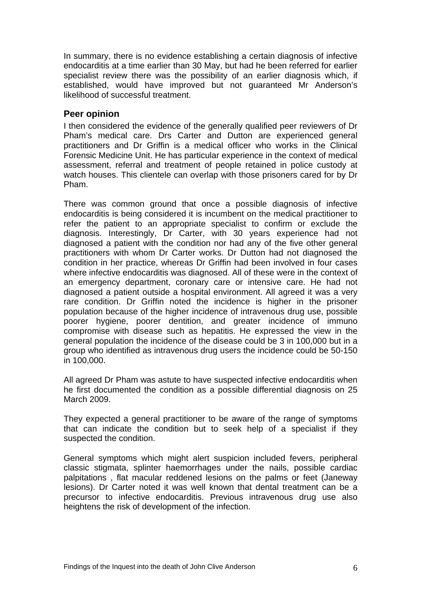In summary, there is no evidence establishing a certain diagnosis of infective endocarditis at a time earlier than 30 May, but had he been referred for earlier specialist review there was the possibility of an earlier diagnosis which, if established, would have improved but not guaranteed Mr Anderson's likelihood of successful treatment.

#### **Peer opinion**

I then considered the evidence of the generally qualified peer reviewers of Dr Pham's medical care. Drs Carter and Dutton are experienced general practitioners and Dr Griffin is a medical officer who works in the Clinical Forensic Medicine Unit. He has particular experience in the context of medical assessment, referral and treatment of people retained in police custody at watch houses. This clientele can overlap with those prisoners cared for by Dr Pham.

There was common ground that once a possible diagnosis of infective endocarditis is being considered it is incumbent on the medical practitioner to refer the patient to an appropriate specialist to confirm or exclude the diagnosis. Interestingly, Dr Carter, with 30 years experience had not diagnosed a patient with the condition nor had any of the five other general practitioners with whom Dr Carter works. Dr Dutton had not diagnosed the condition in her practice, whereas Dr Griffin had been involved in four cases where infective endocarditis was diagnosed. All of these were in the context of an emergency department, coronary care or intensive care. He had not diagnosed a patient outside a hospital environment. All agreed it was a very rare condition. Dr Griffin noted the incidence is higher in the prisoner population because of the higher incidence of intravenous drug use, possible poorer hygiene, poorer dentition, and greater incidence of immuno compromise with disease such as hepatitis. He expressed the view in the general population the incidence of the disease could be 3 in 100,000 but in a group who identified as intravenous drug users the incidence could be 50-150 in 100,000.

All agreed Dr Pham was astute to have suspected infective endocarditis when he first documented the condition as a possible differential diagnosis on 25 March 2009.

They expected a general practitioner to be aware of the range of symptoms that can indicate the condition but to seek help of a specialist if they suspected the condition.

General symptoms which might alert suspicion included fevers, peripheral classic stigmata, splinter haemorrhages under the nails, possible cardiac palpitations , flat macular reddened lesions on the palms or feet (Janeway lesions). Dr Carter noted it was well known that dental treatment can be a precursor to infective endocarditis. Previous intravenous drug use also heightens the risk of development of the infection.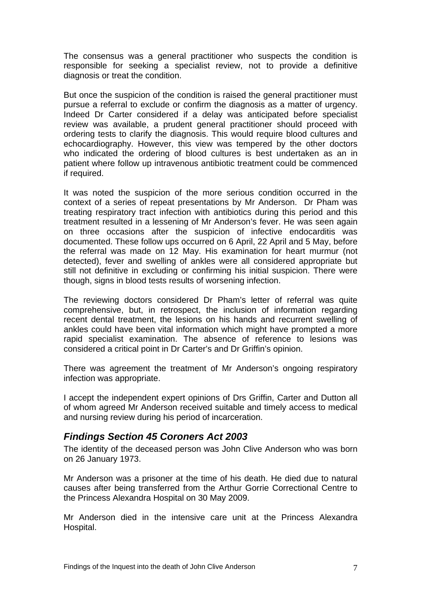The consensus was a general practitioner who suspects the condition is responsible for seeking a specialist review, not to provide a definitive diagnosis or treat the condition.

But once the suspicion of the condition is raised the general practitioner must pursue a referral to exclude or confirm the diagnosis as a matter of urgency. Indeed Dr Carter considered if a delay was anticipated before specialist review was available, a prudent general practitioner should proceed with ordering tests to clarify the diagnosis. This would require blood cultures and echocardiography. However, this view was tempered by the other doctors who indicated the ordering of blood cultures is best undertaken as an in patient where follow up intravenous antibiotic treatment could be commenced if required.

It was noted the suspicion of the more serious condition occurred in the context of a series of repeat presentations by Mr Anderson. Dr Pham was treating respiratory tract infection with antibiotics during this period and this treatment resulted in a lessening of Mr Anderson's fever. He was seen again on three occasions after the suspicion of infective endocarditis was documented. These follow ups occurred on 6 April, 22 April and 5 May, before the referral was made on 12 May. His examination for heart murmur (not detected), fever and swelling of ankles were all considered appropriate but still not definitive in excluding or confirming his initial suspicion. There were though, signs in blood tests results of worsening infection.

The reviewing doctors considered Dr Pham's letter of referral was quite comprehensive, but, in retrospect, the inclusion of information regarding recent dental treatment, the lesions on his hands and recurrent swelling of ankles could have been vital information which might have prompted a more rapid specialist examination. The absence of reference to lesions was considered a critical point in Dr Carter's and Dr Griffin's opinion.

There was agreement the treatment of Mr Anderson's ongoing respiratory infection was appropriate.

I accept the independent expert opinions of Drs Griffin, Carter and Dutton all of whom agreed Mr Anderson received suitable and timely access to medical and nursing review during his period of incarceration.

# *Findings Section 45 Coroners Act 2003*

The identity of the deceased person was John Clive Anderson who was born on 26 January 1973.

Mr Anderson was a prisoner at the time of his death. He died due to natural causes after being transferred from the Arthur Gorrie Correctional Centre to the Princess Alexandra Hospital on 30 May 2009.

Mr Anderson died in the intensive care unit at the Princess Alexandra Hospital.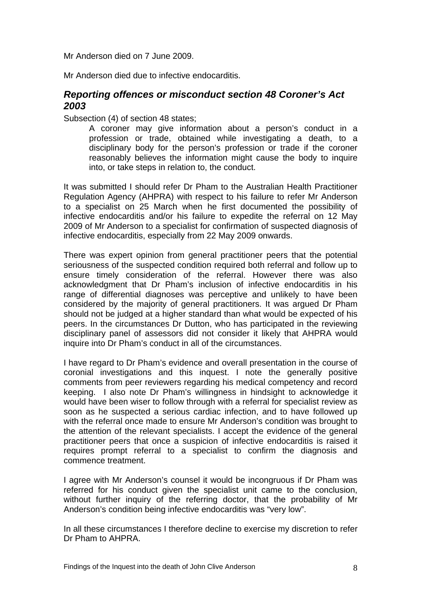Mr Anderson died on 7 June 2009.

Mr Anderson died due to infective endocarditis.

# *Reporting offences or misconduct section 48 Coroner's Act 2003*

Subsection (4) of section 48 states;

A coroner may give information about a person's conduct in a profession or trade, obtained while investigating a death, to a disciplinary body for the person's profession or trade if the coroner reasonably believes the information might cause the body to inquire into, or take steps in relation to, the conduct.

It was submitted I should refer Dr Pham to the Australian Health Practitioner Regulation Agency (AHPRA) with respect to his failure to refer Mr Anderson to a specialist on 25 March when he first documented the possibility of infective endocarditis and/or his failure to expedite the referral on 12 May 2009 of Mr Anderson to a specialist for confirmation of suspected diagnosis of infective endocarditis, especially from 22 May 2009 onwards.

There was expert opinion from general practitioner peers that the potential seriousness of the suspected condition required both referral and follow up to ensure timely consideration of the referral. However there was also acknowledgment that Dr Pham's inclusion of infective endocarditis in his range of differential diagnoses was perceptive and unlikely to have been considered by the majority of general practitioners. It was argued Dr Pham should not be judged at a higher standard than what would be expected of his peers. In the circumstances Dr Dutton, who has participated in the reviewing disciplinary panel of assessors did not consider it likely that AHPRA would inquire into Dr Pham's conduct in all of the circumstances.

I have regard to Dr Pham's evidence and overall presentation in the course of coronial investigations and this inquest. I note the generally positive comments from peer reviewers regarding his medical competency and record keeping. I also note Dr Pham's willingness in hindsight to acknowledge it would have been wiser to follow through with a referral for specialist review as soon as he suspected a serious cardiac infection, and to have followed up with the referral once made to ensure Mr Anderson's condition was brought to the attention of the relevant specialists. I accept the evidence of the general practitioner peers that once a suspicion of infective endocarditis is raised it requires prompt referral to a specialist to confirm the diagnosis and commence treatment.

I agree with Mr Anderson's counsel it would be incongruous if Dr Pham was referred for his conduct given the specialist unit came to the conclusion, without further inquiry of the referring doctor, that the probability of Mr Anderson's condition being infective endocarditis was "very low".

In all these circumstances I therefore decline to exercise my discretion to refer Dr Pham to AHPRA.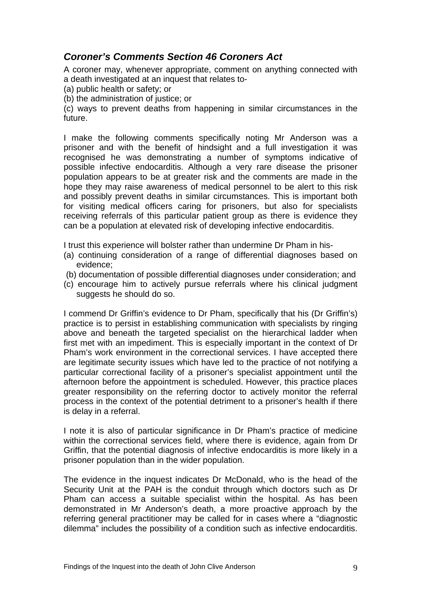# *Coroner's Comments Section 46 Coroners Act*

A coroner may, whenever appropriate, comment on anything connected with a death investigated at an inquest that relates to-

(a) public health or safety; or

(b) the administration of justice; or

(c) ways to prevent deaths from happening in similar circumstances in the future.

I make the following comments specifically noting Mr Anderson was a prisoner and with the benefit of hindsight and a full investigation it was recognised he was demonstrating a number of symptoms indicative of possible infective endocarditis. Although a very rare disease the prisoner population appears to be at greater risk and the comments are made in the hope they may raise awareness of medical personnel to be alert to this risk and possibly prevent deaths in similar circumstances. This is important both for visiting medical officers caring for prisoners, but also for specialists receiving referrals of this particular patient group as there is evidence they can be a population at elevated risk of developing infective endocarditis.

I trust this experience will bolster rather than undermine Dr Pham in his-

- (a) continuing consideration of a range of differential diagnoses based on evidence;
- (b) documentation of possible differential diagnoses under consideration; and
- (c) encourage him to actively pursue referrals where his clinical judgment suggests he should do so.

I commend Dr Griffin's evidence to Dr Pham, specifically that his (Dr Griffin's) practice is to persist in establishing communication with specialists by ringing above and beneath the targeted specialist on the hierarchical ladder when first met with an impediment. This is especially important in the context of Dr Pham's work environment in the correctional services. I have accepted there are legitimate security issues which have led to the practice of not notifying a particular correctional facility of a prisoner's specialist appointment until the afternoon before the appointment is scheduled. However, this practice places greater responsibility on the referring doctor to actively monitor the referral process in the context of the potential detriment to a prisoner's health if there is delay in a referral.

I note it is also of particular significance in Dr Pham's practice of medicine within the correctional services field, where there is evidence, again from Dr Griffin, that the potential diagnosis of infective endocarditis is more likely in a prisoner population than in the wider population.

The evidence in the inquest indicates Dr McDonald, who is the head of the Security Unit at the PAH is the conduit through which doctors such as Dr Pham can access a suitable specialist within the hospital. As has been demonstrated in Mr Anderson's death, a more proactive approach by the referring general practitioner may be called for in cases where a "diagnostic dilemma" includes the possibility of a condition such as infective endocarditis.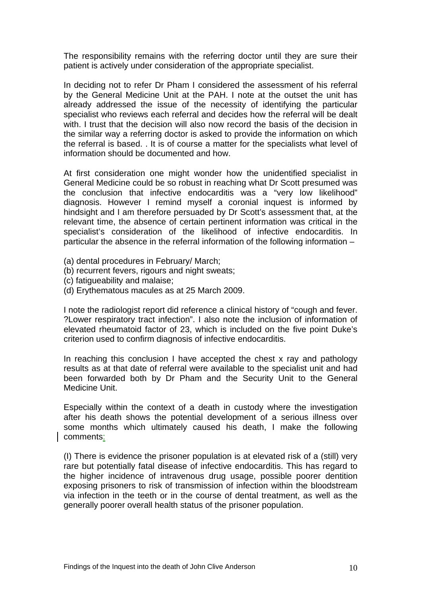The responsibility remains with the referring doctor until they are sure their patient is actively under consideration of the appropriate specialist.

In deciding not to refer Dr Pham I considered the assessment of his referral by the General Medicine Unit at the PAH. I note at the outset the unit has already addressed the issue of the necessity of identifying the particular specialist who reviews each referral and decides how the referral will be dealt with. I trust that the decision will also now record the basis of the decision in the similar way a referring doctor is asked to provide the information on which the referral is based. . It is of course a matter for the specialists what level of information should be documented and how.

At first consideration one might wonder how the unidentified specialist in General Medicine could be so robust in reaching what Dr Scott presumed was the conclusion that infective endocarditis was a "very low likelihood" diagnosis. However I remind myself a coronial inquest is informed by hindsight and I am therefore persuaded by Dr Scott's assessment that, at the relevant time, the absence of certain pertinent information was critical in the specialist's consideration of the likelihood of infective endocarditis. In particular the absence in the referral information of the following information –

- (a) dental procedures in February/ March;
- (b) recurrent fevers, rigours and night sweats;
- (c) fatigueability and malaise;
- (d) Erythematous macules as at 25 March 2009.

I note the radiologist report did reference a clinical history of "cough and fever. ?Lower respiratory tract infection". I also note the inclusion of information of elevated rheumatoid factor of 23, which is included on the five point Duke's criterion used to confirm diagnosis of infective endocarditis.

In reaching this conclusion I have accepted the chest x ray and pathology results as at that date of referral were available to the specialist unit and had been forwarded both by Dr Pham and the Security Unit to the General Medicine Unit.

Especially within the context of a death in custody where the investigation after his death shows the potential development of a serious illness over some months which ultimately caused his death, I make the following comments:

(I) There is evidence the prisoner population is at elevated risk of a (still) very rare but potentially fatal disease of infective endocarditis. This has regard to the higher incidence of intravenous drug usage, possible poorer dentition exposing prisoners to risk of transmission of infection within the bloodstream via infection in the teeth or in the course of dental treatment, as well as the generally poorer overall health status of the prisoner population.